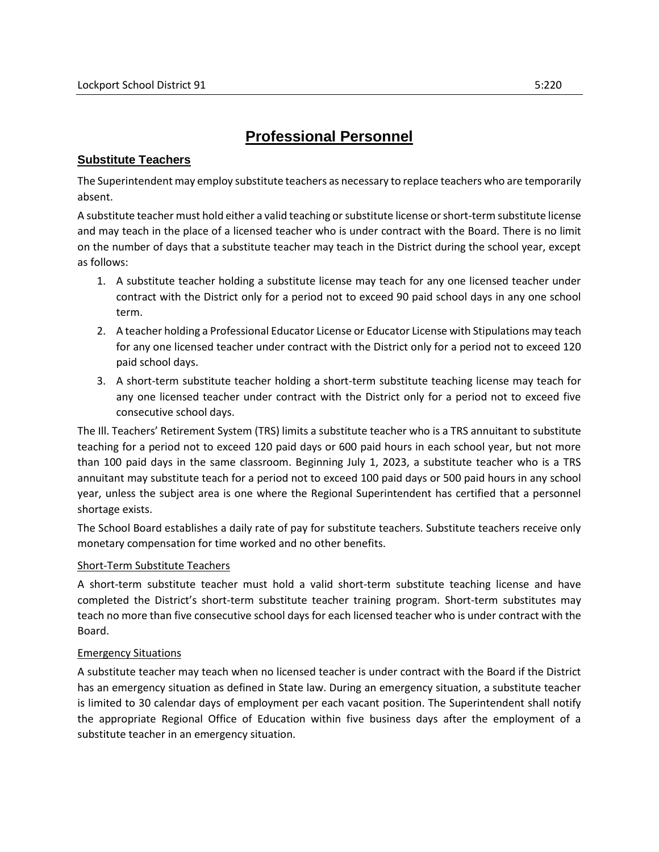## **Professional Personnel**

## **Substitute Teachers**

The Superintendent may employ substitute teachers as necessary to replace teachers who are temporarily absent.

A substitute teacher must hold either a valid teaching or substitute license or short-term substitute license and may teach in the place of a licensed teacher who is under contract with the Board. There is no limit on the number of days that a substitute teacher may teach in the District during the school year, except as follows:

- 1. A substitute teacher holding a substitute license may teach for any one licensed teacher under contract with the District only for a period not to exceed 90 paid school days in any one school term.
- 2. A teacher holding a Professional Educator License or Educator License with Stipulations may teach for any one licensed teacher under contract with the District only for a period not to exceed 120 paid school days.
- 3. A short-term substitute teacher holding a short-term substitute teaching license may teach for any one licensed teacher under contract with the District only for a period not to exceed five consecutive school days.

The Ill. Teachers' Retirement System (TRS) limits a substitute teacher who is a TRS annuitant to substitute teaching for a period not to exceed 120 paid days or 600 paid hours in each school year, but not more than 100 paid days in the same classroom. Beginning July 1, 2023, a substitute teacher who is a TRS annuitant may substitute teach for a period not to exceed 100 paid days or 500 paid hours in any school year, unless the subject area is one where the Regional Superintendent has certified that a personnel shortage exists.

The School Board establishes a daily rate of pay for substitute teachers. Substitute teachers receive only monetary compensation for time worked and no other benefits.

## Short-Term Substitute Teachers

A short-term substitute teacher must hold a valid short-term substitute teaching license and have completed the District's short-term substitute teacher training program. Short-term substitutes may teach no more than five consecutive school days for each licensed teacher who is under contract with the Board.

## Emergency Situations

A substitute teacher may teach when no licensed teacher is under contract with the Board if the District has an emergency situation as defined in State law. During an emergency situation, a substitute teacher is limited to 30 calendar days of employment per each vacant position. The Superintendent shall notify the appropriate Regional Office of Education within five business days after the employment of a substitute teacher in an emergency situation.